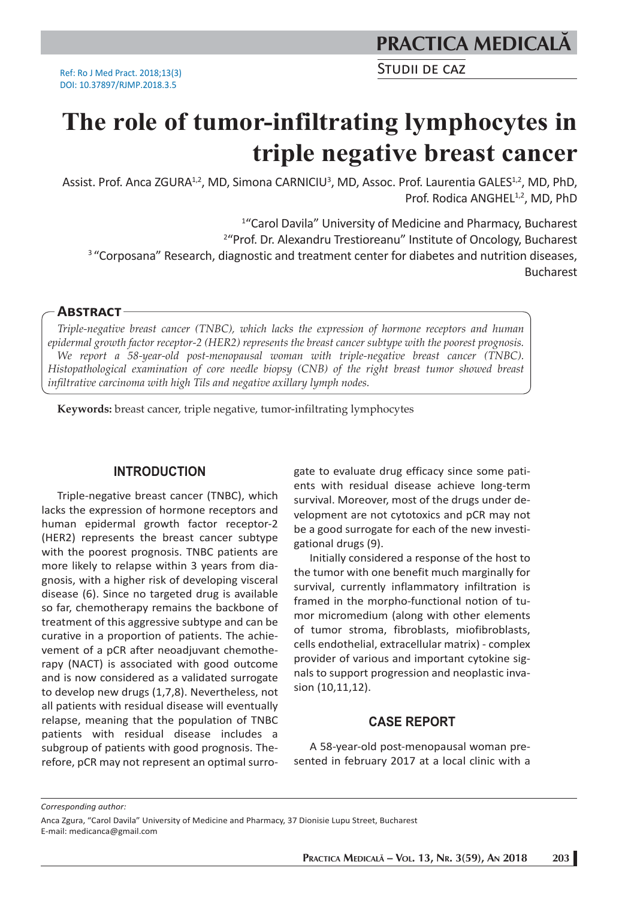STUDII DE CAZ

# **The role of tumor-infiltrating lymphocytes in triple negative breast cancer**

Assist. Prof. Anca ZGURA<sup>1,2</sup>, MD, Simona CARNICIU<sup>3</sup>, MD, Assoc. Prof. Laurentia GALES<sup>1,2</sup>, MD, PhD, Prof. Rodica ANGHEL<sup>1,2</sup>, MD, PhD

1 "Carol Davila" University of Medicine and Pharmacy, Bucharest <sup>2</sup>"Prof. Dr. Alexandru Trestioreanu" Institute of Oncology, Bucharest <sup>3</sup> "Corposana" Research, diagnostic and treatment center for diabetes and nutrition diseases, Bucharest

#### **ABSTRACT**

*Triple-negative breast cancer (TNBC), which lacks the expression of hormone receptors and human epidermal growth factor receptor-2 (HER2) represents the breast cancer subtype with the poorest prognosis. We report a 58-year-old post-menopausal woman with triple-negative breast cancer (TNBC). Histopathological examination of core needle biopsy (CNB) of the right breast tumor showed breast infiltrative carcinoma with high Tils and negative axillary lymph nodes.*

**Keywords:** breast cancer, triple negative, tumor-infiltrating lymphocytes

## **INTRODUCTION**

Triple-negative breast cancer (TNBC), which lacks the expression of hormone receptors and human epidermal growth factor receptor-2 (HER2) represents the breast cancer subtype with the poorest prognosis. TNBC patients are more likely to relapse within 3 years from diagnosis, with a higher risk of developing visceral disease (6). Since no targeted drug is available so far, chemotherapy remains the backbone of treatment of this aggressive subtype and can be curative in a proportion of patients. The achievement of a pCR after neoadjuvant chemotherapy (NACT) is associated with good outcome and is now considered as a validated surrogate to develop new drugs (1,7,8). Nevertheless, not all patients with residual disease will eventually relapse, meaning that the population of TNBC patients with residual disease includes a subgroup of patients with good prognosis. Therefore, pCR may not represent an optimal surrogate to evaluate drug efficacy since some patients with residual disease achieve long-term survival. Moreover, most of the drugs under development are not cytotoxics and pCR may not be a good surrogate for each of the new investigational drugs (9).

Initially considered a response of the host to the tumor with one benefit much marginally for survival, currently inflammatory infiltration is framed in the morpho-functional notion of tumor micromedium (along with other elements of tumor stroma, fibroblasts, miofibroblasts, cells endothelial, extracellular matrix) - complex provider of various and important cytokine signals to support progression and neoplastic invasion (10,11,12).

## **CASE REPORT**

A 58-year-old post-menopausal woman presented in february 2017 at a local clinic with a

*Corresponding author:* 

Anca Zgura, "Carol Davila" University of Medicine and Pharmacy, 37 Dionisie Lupu Street, Bucharest E-mail: medicanca@gmail.com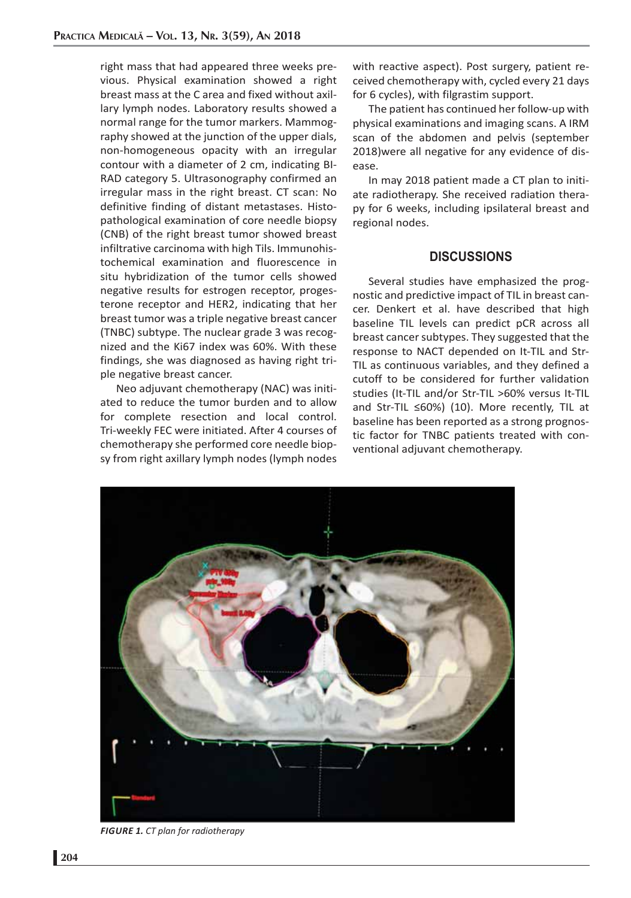right mass that had appeared three weeks previous. Physical examination showed a right breast mass at the C area and fixed without axillary lymph nodes. Laboratory results showed a normal range for the tumor markers. Mammography showed at the junction of the upper dials, non-homogeneous opacity with an irregular contour with a diameter of 2 cm, indicating BI-RAD category 5. Ultrasonography confirmed an irregular mass in the right breast. CT scan: No definitive finding of distant metastases. Histopathological examination of core needle biopsy (CNB) of the right breast tumor showed breast infiltrative carcinoma with high Tils. Immunohistochemical examination and fluorescence in situ hybridization of the tumor cells showed negative results for estrogen receptor, progesterone receptor and HER2, indicating that her breast tumor was a triple negative breast cancer (TNBC) subtype. The nuclear grade 3 was recognized and the Ki67 index was 60%. With these findings, she was diagnosed as having right triple negative breast cancer.

Neo adjuvant chemotherapy (NAC) was initiated to reduce the tumor burden and to allow for complete resection and local control. Tri-weekly FEC were initiated. After 4 courses of chemotherapy she performed core needle biopsy from right axillary lymph nodes (lymph nodes with reactive aspect). Post surgery, patient received chemotherapy with, cycled every 21 days for 6 cycles), with filgrastim support.

The patient has continued her follow-up with physical examinations and imaging scans. A IRM scan of the abdomen and pelvis (september 2018)were all negative for any evidence of disease.

In may 2018 patient made a CT plan to initiate radiotherapy. She received radiation therapy for 6 weeks, including ipsilateral breast and regional nodes.

#### **DISCUSSIONS**

Several studies have emphasized the prognostic and predictive impact of TIL in breast cancer. Denkert et al. have described that high baseline TIL levels can predict pCR across all breast cancer subtypes. They suggested that the response to NACT depended on It-TIL and Str-TIL as continuous variables, and they defined a cutoff to be considered for further validation studies (It-TIL and/or Str-TIL >60% versus It-TIL and Str-TIL ≤60%) (10). More recently, TIL at baseline has been reported as a strong prognostic factor for TNBC patients treated with conventional adjuvant chemotherapy.



*FIGURE 1. CT plan for radiotherapy*